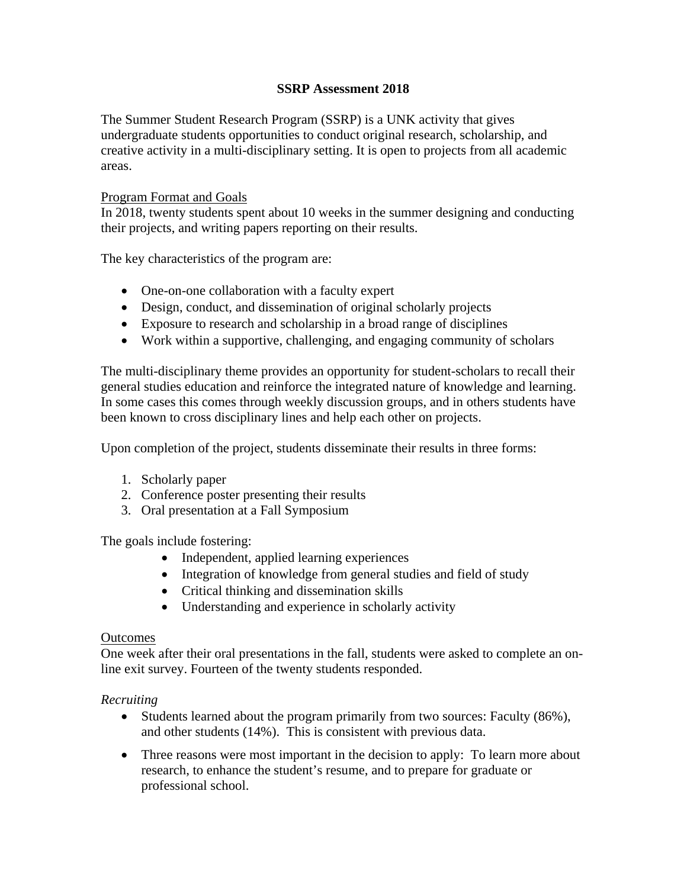# **SSRP Assessment 2018**

The Summer Student Research Program (SSRP) is a UNK activity that gives undergraduate students opportunities to conduct original research, scholarship, and creative activity in a multi-disciplinary setting. It is open to projects from all academic areas.

### Program Format and Goals

In 2018, twenty students spent about 10 weeks in the summer designing and conducting their projects, and writing papers reporting on their results.

The key characteristics of the program are:

- One-on-one collaboration with a faculty expert
- Design, conduct, and dissemination of original scholarly projects
- Exposure to research and scholarship in a broad range of disciplines
- Work within a supportive, challenging, and engaging community of scholars

The multi-disciplinary theme provides an opportunity for student-scholars to recall their general studies education and reinforce the integrated nature of knowledge and learning. In some cases this comes through weekly discussion groups, and in others students have been known to cross disciplinary lines and help each other on projects.

Upon completion of the project, students disseminate their results in three forms:

- 1. Scholarly paper
- 2. Conference poster presenting their results
- 3. Oral presentation at a Fall Symposium

The goals include fostering:

- Independent, applied learning experiences
- Integration of knowledge from general studies and field of study
- Critical thinking and dissemination skills
- Understanding and experience in scholarly activity

### Outcomes

One week after their oral presentations in the fall, students were asked to complete an online exit survey. Fourteen of the twenty students responded.

### *Recruiting*

- Students learned about the program primarily from two sources: Faculty (86%), and other students (14%). This is consistent with previous data.
- Three reasons were most important in the decision to apply: To learn more about research, to enhance the student's resume, and to prepare for graduate or professional school.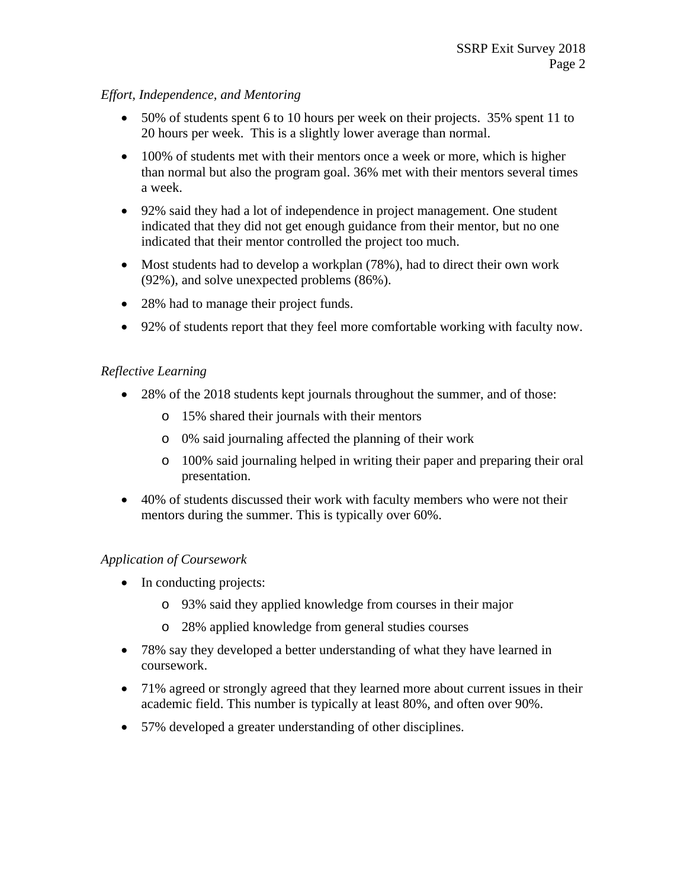# *Effort, Independence, and Mentoring*

- 50% of students spent 6 to 10 hours per week on their projects. 35% spent 11 to 20 hours per week. This is a slightly lower average than normal.
- 100% of students met with their mentors once a week or more, which is higher than normal but also the program goal. 36% met with their mentors several times a week.
- 92% said they had a lot of independence in project management. One student indicated that they did not get enough guidance from their mentor, but no one indicated that their mentor controlled the project too much.
- Most students had to develop a workplan (78%), had to direct their own work (92%), and solve unexpected problems (86%).
- 28% had to manage their project funds.
- 92% of students report that they feel more comfortable working with faculty now.

## *Reflective Learning*

- 28% of the 2018 students kept journals throughout the summer, and of those:
	- o 15% shared their journals with their mentors
	- o 0% said journaling affected the planning of their work
	- o 100% said journaling helped in writing their paper and preparing their oral presentation.
- 40% of students discussed their work with faculty members who were not their mentors during the summer. This is typically over 60%.

### *Application of Coursework*

- In conducting projects:
	- o 93% said they applied knowledge from courses in their major
	- o 28% applied knowledge from general studies courses
- 78% say they developed a better understanding of what they have learned in coursework.
- 71% agreed or strongly agreed that they learned more about current issues in their academic field. This number is typically at least 80%, and often over 90%.
- 57% developed a greater understanding of other disciplines.